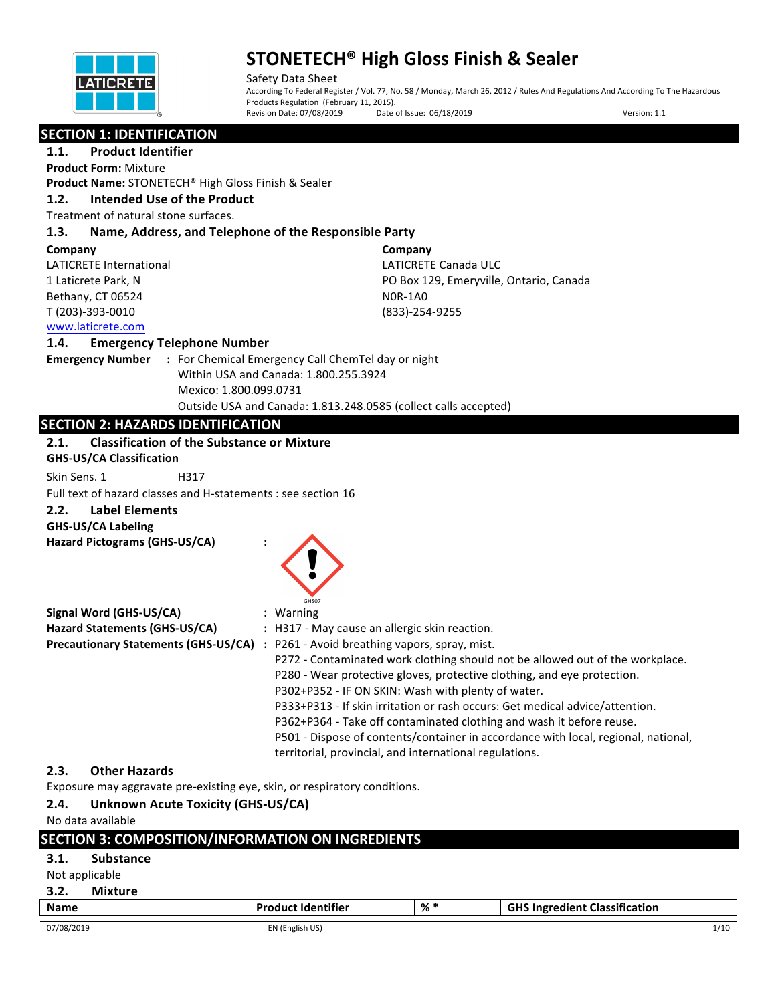

Safety Data Sheet According To Federal Register / Vol. 77, No. 58 / Monday, March 26, 2012 / Rules And Regulations And According To The Hazardous Products Regulation (February 11, 2015). Revision Date: 07/08/2019 Date of Issue: 06/18/2019 Version: 1.1

#### **SECTION 1: IDENTIFICATION**

**1.1.** Product Identifier **Product Form:** Mixture

**Product Name:** STONETECH® High Gloss Finish & Sealer

#### **1.2. Intended Use of the Product**

Treatment of natural stone surfaces.

#### **1.3. Name, Address, and Telephone of the Responsible Party**

#### **Company**

LATICRETE International 1 Laticrete Park, N Bethany, CT 06524 T (203)-393-0010

**Company** LATICRETE Canada ULC PO Box 129, Emeryville, Ontario, Canada N0R-1A0 (833)-254-9255

### www.laticrete.com

#### **1.4. Emergency Telephone Number**

**Emergency Number : For Chemical Emergency Call ChemTel day or night** Within USA and Canada: 1.800.255.3924 Mexico: 1.800.099.0731 Outside USA and Canada: 1.813.248.0585 (collect calls accepted)

### **SECTION 2: HAZARDS IDENTIFICATION**

#### **2.1.** Classification of the Substance or Mixture

**GHS-US/CA Classification**

Skin Sens. 1 H317

Full text of hazard classes and H-statements : see section 16

### **2.2. Label Elements**

**GHS-US/CA Labeling**

**Hazard Pictograms (GHS-US/CA) :**

| GHS07 |  |
|-------|--|
|       |  |

| Signal Word (GHS-US/CA)                     | : Warning                                                                          |
|---------------------------------------------|------------------------------------------------------------------------------------|
| Hazard Statements (GHS-US/CA)               | : H317 - May cause an allergic skin reaction.                                      |
| <b>Precautionary Statements (GHS-US/CA)</b> | : P261 - Avoid breathing vapors, spray, mist.                                      |
|                                             | P272 - Contaminated work clothing should not be allowed out of the workplace.      |
|                                             | P280 - Wear protective gloves, protective clothing, and eye protection.            |
|                                             | P302+P352 - IF ON SKIN: Wash with plenty of water.                                 |
|                                             | P333+P313 - If skin irritation or rash occurs: Get medical advice/attention.       |
|                                             | P362+P364 - Take off contaminated clothing and wash it before reuse.               |
|                                             | P501 - Dispose of contents/container in accordance with local, regional, national, |
|                                             | territorial, provincial, and international regulations.                            |

### **2.3. Other Hazards**

Exposure may aggravate pre-existing eye, skin, or respiratory conditions.

### **2.4.** Unknown Acute Toxicity (GHS-US/CA)

No data available

|                |                  | <b>SECTION 3: COMPOSITION/INFORMATION ON INGREDIENTS</b> |     |                                      |
|----------------|------------------|----------------------------------------------------------|-----|--------------------------------------|
| 3.1.           | <b>Substance</b> |                                                          |     |                                      |
| Not applicable |                  |                                                          |     |                                      |
| 3.2.           | <b>Mixture</b>   |                                                          |     |                                      |
| <b>Name</b>    |                  | <b>Product Identifier</b>                                | % * | <b>GHS Ingredient Classification</b> |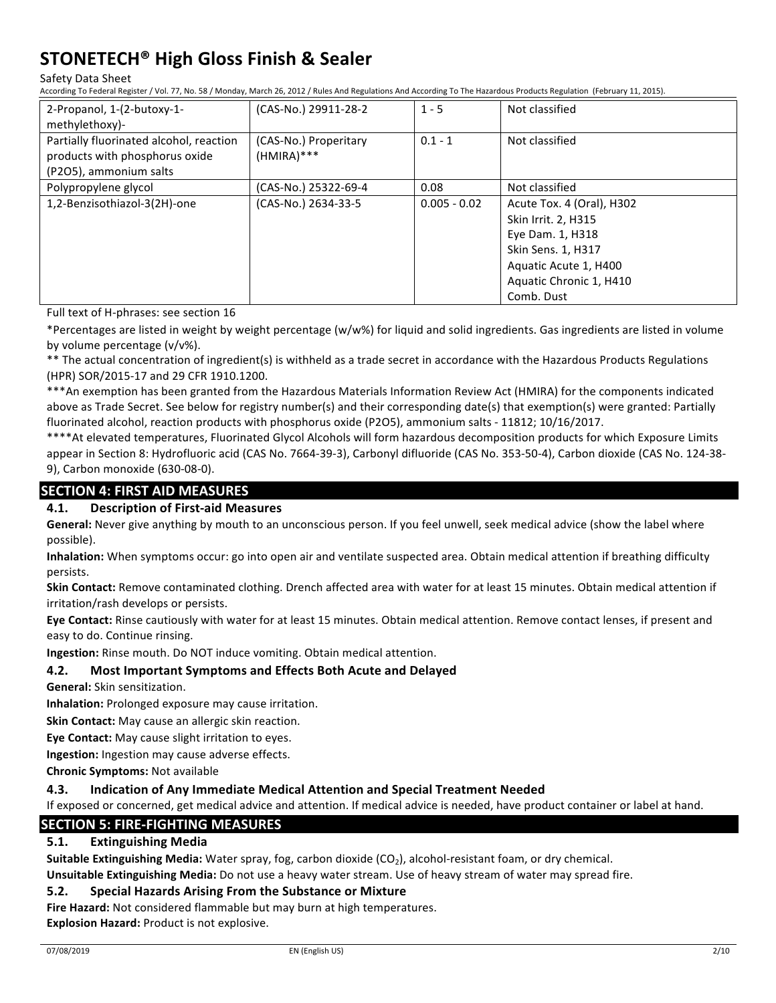#### Safety Data Sheet

According To Federal Register / Vol. 77, No. 58 / Monday, March 26, 2012 / Rules And Regulations And According To The Hazardous Products Regulation (February 11, 2015).

| 2-Propanol, 1-(2-butoxy-1-<br>methylethoxy)-                                                        | (CAS-No.) 29911-28-2                  | $1 - 5$        | Not classified                                                                                                                                                      |
|-----------------------------------------------------------------------------------------------------|---------------------------------------|----------------|---------------------------------------------------------------------------------------------------------------------------------------------------------------------|
| Partially fluorinated alcohol, reaction<br>products with phosphorus oxide<br>(P2O5), ammonium salts | (CAS-No.) Properitary<br>$(HMIRA)***$ | $0.1 - 1$      | Not classified                                                                                                                                                      |
| Polypropylene glycol                                                                                | (CAS-No.) 25322-69-4                  | 0.08           | Not classified                                                                                                                                                      |
| 1,2-Benzisothiazol-3(2H)-one                                                                        | (CAS-No.) 2634-33-5                   | $0.005 - 0.02$ | Acute Tox. 4 (Oral), H302<br>Skin Irrit. 2, H315<br>Eye Dam. 1, H318<br><b>Skin Sens. 1, H317</b><br>Aquatic Acute 1, H400<br>Aquatic Chronic 1, H410<br>Comb. Dust |

Full text of H-phrases: see section 16

\*Percentages are listed in weight by weight percentage (w/w%) for liquid and solid ingredients. Gas ingredients are listed in volume by volume percentage  $(v/v\%)$ .

\*\* The actual concentration of ingredient(s) is withheld as a trade secret in accordance with the Hazardous Products Regulations (HPR) SOR/2015-17 and 29 CFR 1910.1200.

\*\*\*An exemption has been granted from the Hazardous Materials Information Review Act (HMIRA) for the components indicated above as Trade Secret. See below for registry number(s) and their corresponding date(s) that exemption(s) were granted: Partially fluorinated alcohol, reaction products with phosphorus oxide (P2O5), ammonium salts - 11812; 10/16/2017.

\*\*\*\*At elevated temperatures, Fluorinated Glycol Alcohols will form hazardous decomposition products for which Exposure Limits appear in Section 8: Hydrofluoric acid (CAS No. 7664-39-3), Carbonyl difluoride (CAS No. 353-50-4), Carbon dioxide (CAS No. 124-38-9), Carbon monoxide (630-08-0).

### **SECTION 4: FIRST AID MEASURES**

#### **4.1. Description of First-aid Measures**

**General:** Never give anything by mouth to an unconscious person. If you feel unwell, seek medical advice (show the label where possible).

**Inhalation:** When symptoms occur: go into open air and ventilate suspected area. Obtain medical attention if breathing difficulty persists.

**Skin Contact:** Remove contaminated clothing. Drench affected area with water for at least 15 minutes. Obtain medical attention if irritation/rash develops or persists.

Eye Contact: Rinse cautiously with water for at least 15 minutes. Obtain medical attention. Remove contact lenses, if present and easy to do. Continue rinsing.

**Ingestion:** Rinse mouth. Do NOT induce vomiting. Obtain medical attention.

#### **4.2.** Most Important Symptoms and Effects Both Acute and Delayed

**General:** Skin sensitization.

**Inhalation:** Prolonged exposure may cause irritation.

**Skin Contact:** May cause an allergic skin reaction.

**Eye Contact:** May cause slight irritation to eyes.

**Ingestion:** Ingestion may cause adverse effects.

**Chronic Symptoms: Not available** 

#### **4.3.** Indication of Any Immediate Medical Attention and Special Treatment Needed

If exposed or concerned, get medical advice and attention. If medical advice is needed, have product container or label at hand.

### **SECTION 5: FIRE-FIGHTING MEASURES**

#### **5.1. Extinguishing Media**

**Suitable Extinguishing Media:** Water spray, fog, carbon dioxide (CO<sub>2</sub>), alcohol-resistant foam, or dry chemical. **Unsuitable Extinguishing Media:** Do not use a heavy water stream. Use of heavy stream of water may spread fire.

### **5.2.** Special Hazards Arising From the Substance or Mixture

**Fire Hazard:** Not considered flammable but may burn at high temperatures.

**Explosion Hazard:** Product is not explosive.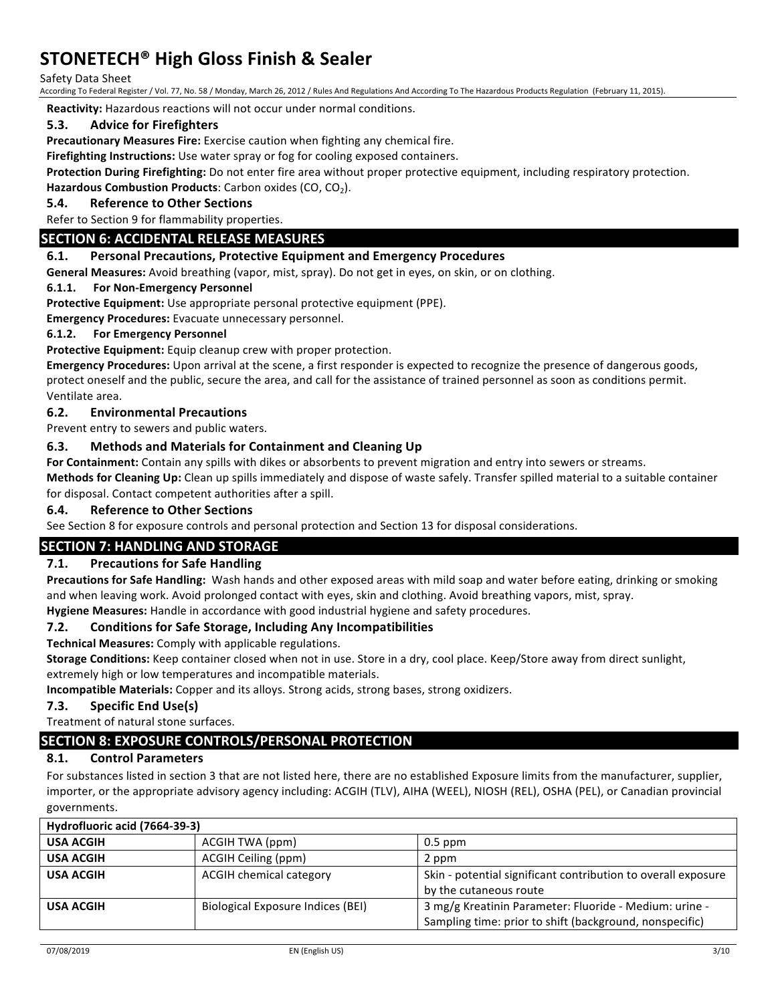Safety Data Sheet

According To Federal Register / Vol. 77, No. 58 / Monday, March 26, 2012 / Rules And Regulations And According To The Hazardous Products Regulation (February 11, 2015).

**Reactivity:** Hazardous reactions will not occur under normal conditions.

#### **5.3.** Advice for Firefighters

**Precautionary Measures Fire:** Exercise caution when fighting any chemical fire.

**Firefighting Instructions:** Use water spray or fog for cooling exposed containers.

Protection During Firefighting: Do not enter fire area without proper protective equipment, including respiratory protection.

**Hazardous Combustion Products:** Carbon oxides (CO, CO<sub>2</sub>).

#### **5.4. Reference to Other Sections**

Refer to Section 9 for flammability properties.

#### **SECTION 6: ACCIDENTAL RELEASE MEASURES**

#### **6.1. Personal Precautions, Protective Equipment and Emergency Procedures**

General Measures: Avoid breathing (vapor, mist, spray). Do not get in eyes, on skin, or on clothing.

#### **6.1.1.** For Non-Emergency Personnel

**Protective Equipment:** Use appropriate personal protective equipment (PPE).

**Emergency Procedures:** Evacuate unnecessary personnel.

#### **6.1.2.** For Emergency Personnel

Protective Equipment: Equip cleanup crew with proper protection.

**Emergency Procedures:** Upon arrival at the scene, a first responder is expected to recognize the presence of dangerous goods, protect oneself and the public, secure the area, and call for the assistance of trained personnel as soon as conditions permit. Ventilate area.

#### **6.2. Environmental Precautions**

Prevent entry to sewers and public waters.

#### **6.3.** Methods and Materials for Containment and Cleaning Up

For Containment: Contain any spills with dikes or absorbents to prevent migration and entry into sewers or streams.

**Methods for Cleaning Up:** Clean up spills immediately and dispose of waste safely. Transfer spilled material to a suitable container for disposal. Contact competent authorities after a spill.

#### **6.4. Reference to Other Sections**

See Section 8 for exposure controls and personal protection and Section 13 for disposal considerations.

### **SECTION 7: HANDLING AND STORAGE**

#### **7.1.** Precautions for Safe Handling

**Precautions for Safe Handling:** Wash hands and other exposed areas with mild soap and water before eating, drinking or smoking and when leaving work. Avoid prolonged contact with eyes, skin and clothing. Avoid breathing vapors, mist, spray.

Hygiene Measures: Handle in accordance with good industrial hygiene and safety procedures.

#### **7.2.** Conditions for Safe Storage, Including Any Incompatibilities

**Technical Measures:** Comply with applicable regulations.

Storage Conditions: Keep container closed when not in use. Store in a dry, cool place. Keep/Store away from direct sunlight, extremely high or low temperatures and incompatible materials.

**Incompatible Materials:** Copper and its alloys. Strong acids, strong bases, strong oxidizers.

#### **7.3. Specific End Use(s)**

Treatment of natural stone surfaces.

### **SECTION 8: EXPOSURE CONTROLS/PERSONAL PROTECTION**

#### **8.1. Control Parameters**

For substances listed in section 3 that are not listed here, there are no established Exposure limits from the manufacturer, supplier, importer, or the appropriate advisory agency including: ACGIH (TLV), AIHA (WEEL), NIOSH (REL), OSHA (PEL), or Canadian provincial governments.

| Hydrofluoric acid (7664-39-3) |                                   |                                                               |
|-------------------------------|-----------------------------------|---------------------------------------------------------------|
| <b>USA ACGIH</b>              | ACGIH TWA (ppm)                   | $0.5$ ppm                                                     |
| <b>USA ACGIH</b>              | ACGIH Ceiling (ppm)               | 2 ppm                                                         |
| <b>USA ACGIH</b>              | <b>ACGIH chemical category</b>    | Skin - potential significant contribution to overall exposure |
|                               |                                   | by the cutaneous route                                        |
| <b>USA ACGIH</b>              | Biological Exposure Indices (BEI) | 3 mg/g Kreatinin Parameter: Fluoride - Medium: urine -        |
|                               |                                   | Sampling time: prior to shift (background, nonspecific)       |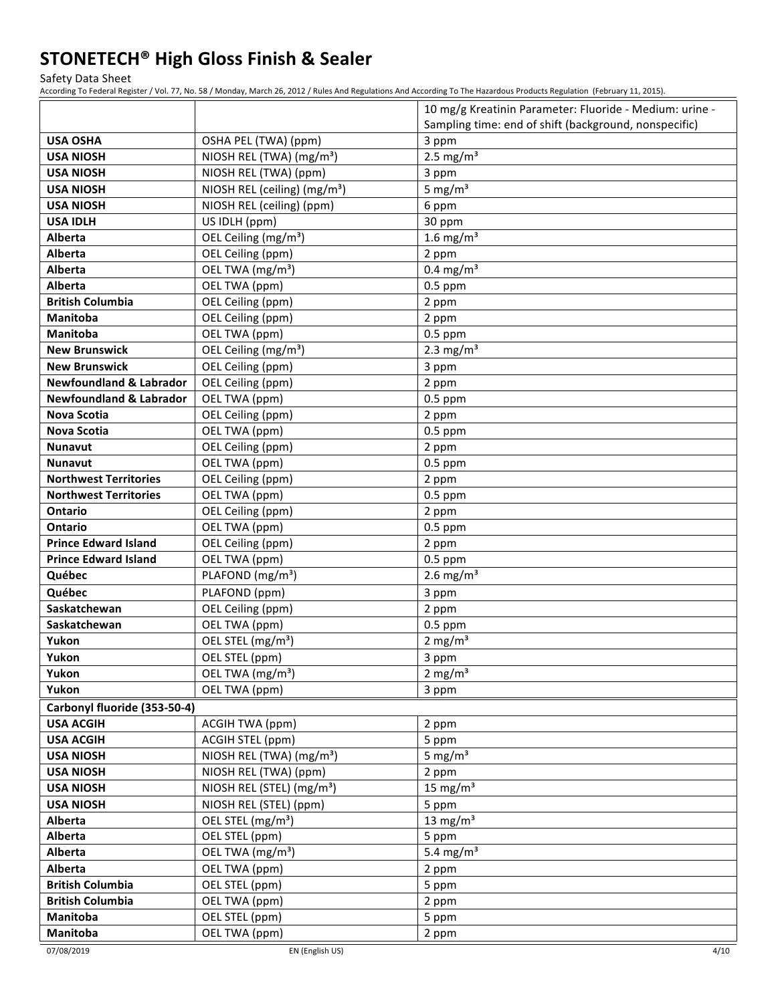Safety Data Sheet

According To Federal Register / Vol. 77, No. 58 / Monday, March 26, 2012 / Rules And Regulations And According To The Hazardous Products Regulation (February 11, 2015).

|                                    |                                          | 10 mg/g Kreatinin Parameter: Fluoride - Medium: urine - |
|------------------------------------|------------------------------------------|---------------------------------------------------------|
|                                    |                                          | Sampling time: end of shift (background, nonspecific)   |
| <b>USA OSHA</b>                    | OSHA PEL (TWA) (ppm)                     | 3 ppm                                                   |
| <b>USA NIOSH</b>                   | NIOSH REL (TWA) (mg/m <sup>3</sup> )     | 2.5 mg/ $m3$                                            |
| <b>USA NIOSH</b>                   | NIOSH REL (TWA) (ppm)                    | 3 ppm                                                   |
| <b>USA NIOSH</b>                   | NIOSH REL (ceiling) (mg/m <sup>3</sup> ) | 5 mg/ $m3$                                              |
| <b>USA NIOSH</b>                   | NIOSH REL (ceiling) (ppm)                | 6 ppm                                                   |
| <b>USA IDLH</b>                    | US IDLH (ppm)                            | 30 ppm                                                  |
| Alberta                            | OEL Ceiling (mg/m <sup>3</sup> )         | 1.6 mg/m <sup>3</sup>                                   |
| Alberta                            | OEL Ceiling (ppm)                        | 2 ppm                                                   |
| <b>Alberta</b>                     | OEL TWA (mg/m <sup>3</sup> )             | $0.4 \text{ mg/m}^3$                                    |
| Alberta                            | OEL TWA (ppm)                            | $0.5$ ppm                                               |
| <b>British Columbia</b>            | OEL Ceiling (ppm)                        | 2 ppm                                                   |
| Manitoba                           | OEL Ceiling (ppm)                        | 2 ppm                                                   |
| <b>Manitoba</b>                    | OEL TWA (ppm)                            | $0.5$ ppm                                               |
| <b>New Brunswick</b>               | OEL Ceiling (mg/m <sup>3</sup> )         | 2.3 mg/ $m3$                                            |
| <b>New Brunswick</b>               | OEL Ceiling (ppm)                        | 3 ppm                                                   |
| <b>Newfoundland &amp; Labrador</b> | OEL Ceiling (ppm)                        | 2 ppm                                                   |
| <b>Newfoundland &amp; Labrador</b> | OEL TWA (ppm)                            | $0.5$ ppm                                               |
| <b>Nova Scotia</b>                 | OEL Ceiling (ppm)                        | 2 ppm                                                   |
| Nova Scotia                        | OEL TWA (ppm)                            | $0.5$ ppm                                               |
| <b>Nunavut</b>                     | OEL Ceiling (ppm)                        | 2 ppm                                                   |
| <b>Nunavut</b>                     | OEL TWA (ppm)                            | $0.5$ ppm                                               |
| <b>Northwest Territories</b>       | OEL Ceiling (ppm)                        | 2 ppm                                                   |
| <b>Northwest Territories</b>       | OEL TWA (ppm)                            | $0.5$ ppm                                               |
| Ontario                            | OEL Ceiling (ppm)                        | 2 ppm                                                   |
| <b>Ontario</b>                     | OEL TWA (ppm)                            | $0.5$ ppm                                               |
| <b>Prince Edward Island</b>        | OEL Ceiling (ppm)                        | 2 ppm                                                   |
| <b>Prince Edward Island</b>        | OEL TWA (ppm)                            | $0.5$ ppm                                               |
| Québec                             | PLAFOND (mg/m <sup>3</sup> )             | 2.6 mg/ $m3$                                            |
| Québec                             | PLAFOND (ppm)                            | 3 ppm                                                   |
| Saskatchewan                       | OEL Ceiling (ppm)                        | 2 ppm                                                   |
| Saskatchewan                       | OEL TWA (ppm)                            | $0.5$ ppm                                               |
| Yukon                              | OEL STEL (mg/m <sup>3</sup> )            | 2 mg/ $m3$                                              |
| Yukon                              | OEL STEL (ppm)                           | 3 ppm                                                   |
| Yukon                              | OEL TWA (mg/m <sup>3</sup> )             | 2 mg/m <sup>3</sup>                                     |
| Yukon                              | OEL TWA (ppm)                            | 3 ppm                                                   |
| Carbonyl fluoride (353-50-4)       |                                          |                                                         |
| <b>USA ACGIH</b>                   | ACGIH TWA (ppm)                          | 2 ppm                                                   |
| <b>USA ACGIH</b>                   | ACGIH STEL (ppm)                         | 5 ppm                                                   |
| <b>USA NIOSH</b>                   | NIOSH REL (TWA) (mg/m <sup>3</sup> )     | 5 mg/ $m3$                                              |
| <b>USA NIOSH</b>                   | NIOSH REL (TWA) (ppm)                    | 2 ppm                                                   |
| <b>USA NIOSH</b>                   | NIOSH REL (STEL) (mg/m <sup>3</sup> )    | 15 mg/m $3$                                             |
| <b>USA NIOSH</b>                   | NIOSH REL (STEL) (ppm)                   | 5 ppm                                                   |
| Alberta                            | OEL STEL (mg/m <sup>3</sup> )            | 13 mg/m $3$                                             |
| Alberta                            | OEL STEL (ppm)                           | 5 ppm                                                   |
| Alberta                            | OEL TWA (mg/m <sup>3</sup> )             | 5.4 mg/m <sup>3</sup>                                   |
| Alberta                            | OEL TWA (ppm)                            | 2 ppm                                                   |
| <b>British Columbia</b>            | OEL STEL (ppm)                           | 5 ppm                                                   |
| <b>British Columbia</b>            | OEL TWA (ppm)                            | 2 ppm                                                   |
| Manitoba                           | OEL STEL (ppm)                           | 5 ppm                                                   |
| Manitoba                           | OEL TWA (ppm)                            | 2 ppm                                                   |

07/08/2019 EN (English US) 4/10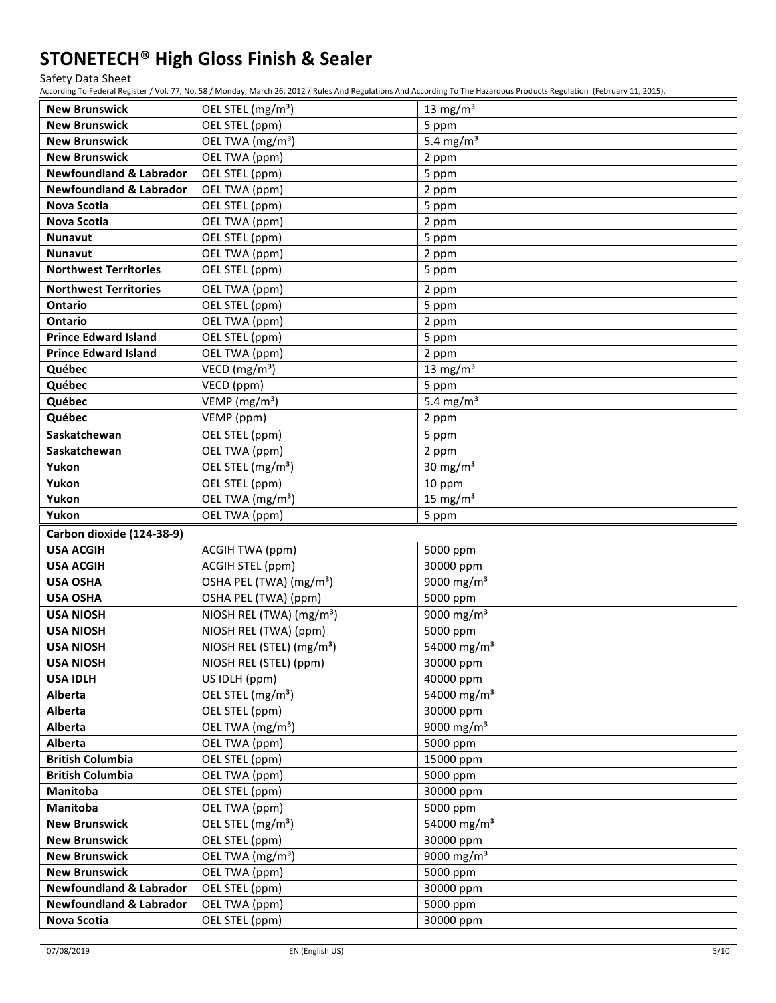#### Safety Data Sheet

According To Federal Register / Vol. 77, No. 58 / Monday, March 26, 2012 / Rules And Regulations And According To The Hazardous Products Regulation (February 11, 2015).

| <b>New Brunswick</b>               | OEL STEL (mg/m <sup>3</sup> )         | 13 mg/m $3$             |
|------------------------------------|---------------------------------------|-------------------------|
| <b>New Brunswick</b>               | OEL STEL (ppm)                        | 5 ppm                   |
| <b>New Brunswick</b>               | OEL TWA (mg/m <sup>3</sup> )          | 5.4 mg/m $3$            |
| <b>New Brunswick</b>               | OEL TWA (ppm)                         | 2 ppm                   |
| <b>Newfoundland &amp; Labrador</b> | OEL STEL (ppm)                        | 5 ppm                   |
| <b>Newfoundland &amp; Labrador</b> | OEL TWA (ppm)                         | 2 ppm                   |
| <b>Nova Scotia</b>                 | OEL STEL (ppm)                        | 5 ppm                   |
| <b>Nova Scotia</b>                 | OEL TWA (ppm)                         | 2 ppm                   |
| <b>Nunavut</b>                     | OEL STEL (ppm)                        | 5 ppm                   |
| <b>Nunavut</b>                     | OEL TWA (ppm)                         | 2 ppm                   |
| <b>Northwest Territories</b>       | OEL STEL (ppm)                        | 5 ppm                   |
| <b>Northwest Territories</b>       | OEL TWA (ppm)                         | 2 ppm                   |
| Ontario                            | OEL STEL (ppm)                        | 5 ppm                   |
| <b>Ontario</b>                     | OEL TWA (ppm)                         | 2 ppm                   |
| <b>Prince Edward Island</b>        | OEL STEL (ppm)                        | 5 ppm                   |
| <b>Prince Edward Island</b>        | OEL TWA (ppm)                         | 2 ppm                   |
| Québec                             | VECD ( $mg/m3$ )                      | 13 mg/m $3$             |
| Québec                             | VECD (ppm)                            | 5 ppm                   |
| Québec                             | VEMP (mg/m <sup>3</sup> )             | 5.4 mg/m <sup>3</sup>   |
| Québec                             | VEMP (ppm)                            | 2 ppm                   |
| Saskatchewan                       | OEL STEL (ppm)                        | 5 ppm                   |
| Saskatchewan                       | OEL TWA (ppm)                         | 2 ppm                   |
| Yukon                              | OEL STEL (mg/m <sup>3</sup> )         | 30 mg/ $m3$             |
| Yukon                              | OEL STEL (ppm)                        | 10 ppm                  |
| Yukon                              | OEL TWA (mg/m <sup>3</sup> )          | 15 mg/m $3$             |
| Yukon                              | OEL TWA (ppm)                         | 5 ppm                   |
| Carbon dioxide (124-38-9)          |                                       |                         |
| <b>USA ACGIH</b>                   | <b>ACGIH TWA (ppm)</b>                | 5000 ppm                |
| <b>USA ACGIH</b>                   | ACGIH STEL (ppm)                      | 30000 ppm               |
| <b>USA OSHA</b>                    | OSHA PEL (TWA) (mg/m <sup>3</sup> )   | 9000 mg/m <sup>3</sup>  |
| <b>USA OSHA</b>                    | OSHA PEL (TWA) (ppm)                  | 5000 ppm                |
| <b>USA NIOSH</b>                   | NIOSH REL (TWA) (mg/m <sup>3</sup> )  | 9000 mg/m <sup>3</sup>  |
| <b>USA NIOSH</b>                   | NIOSH REL (TWA) (ppm)                 | 5000 ppm                |
| <b>USA NIOSH</b>                   | NIOSH REL (STEL) (mg/m <sup>3</sup> ) | 54000 mg/m <sup>3</sup> |
| <b>USA NIOSH</b>                   | NIOSH REL (STEL) (ppm)                | 30000 ppm               |
| <b>USA IDLH</b>                    | US IDLH (ppm)                         | 40000 ppm               |
| Alberta                            | OEL STEL (mg/m <sup>3</sup> )         | 54000 mg/m <sup>3</sup> |
| Alberta                            | OEL STEL (ppm)                        | 30000 ppm               |
| Alberta                            | OEL TWA (mg/m <sup>3</sup> )          | 9000 mg/m <sup>3</sup>  |
| Alberta                            | OEL TWA (ppm)                         | 5000 ppm                |
| <b>British Columbia</b>            | OEL STEL (ppm)                        | 15000 ppm               |
| <b>British Columbia</b>            | OEL TWA (ppm)                         | 5000 ppm                |
| Manitoba                           | OEL STEL (ppm)                        | 30000 ppm               |
| Manitoba                           | OEL TWA (ppm)                         | 5000 ppm                |
| <b>New Brunswick</b>               | OEL STEL (mg/m <sup>3</sup> )         | 54000 mg/m <sup>3</sup> |
| <b>New Brunswick</b>               | OEL STEL (ppm)                        | 30000 ppm               |
| <b>New Brunswick</b>               | OEL TWA (mg/m <sup>3</sup> )          | 9000 mg/m <sup>3</sup>  |
| <b>New Brunswick</b>               | OEL TWA (ppm)                         | 5000 ppm                |
| <b>Newfoundland &amp; Labrador</b> | OEL STEL (ppm)                        | 30000 ppm               |
| <b>Newfoundland &amp; Labrador</b> | OEL TWA (ppm)                         | 5000 ppm                |
| <b>Nova Scotia</b>                 | OEL STEL (ppm)                        | 30000 ppm               |

07/08/2019 EN (English US) 5/10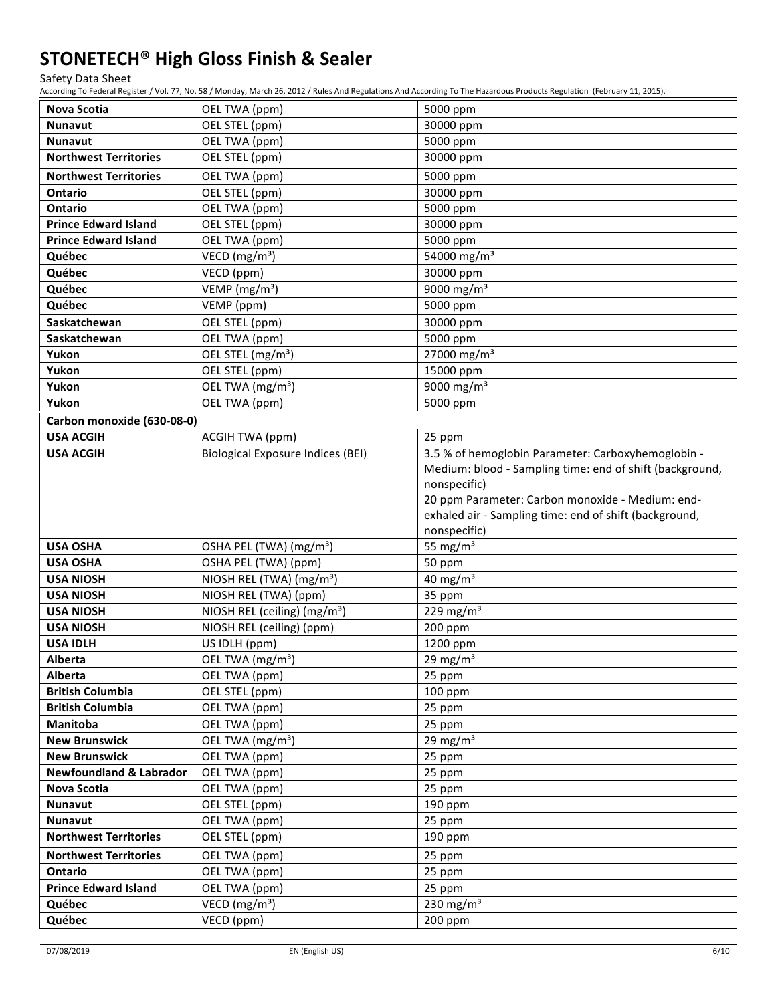#### Safety Data Sheet

According To Federal Register / Vol. 77, No. 58 / Monday, March 26, 2012 / Rules And Regulations And According To The Hazardous Products Regulation (February 11, 2015).

| Nova Scotia                        | OEL TWA (ppm)                            | 5000 ppm                                                                                                       |
|------------------------------------|------------------------------------------|----------------------------------------------------------------------------------------------------------------|
| <b>Nunavut</b>                     | OEL STEL (ppm)                           | 30000 ppm                                                                                                      |
| <b>Nunavut</b>                     | OEL TWA (ppm)                            | 5000 ppm                                                                                                       |
| <b>Northwest Territories</b>       | OEL STEL (ppm)                           | 30000 ppm                                                                                                      |
| <b>Northwest Territories</b>       | OEL TWA (ppm)                            | 5000 ppm                                                                                                       |
| Ontario                            | OEL STEL (ppm)                           | 30000 ppm                                                                                                      |
| Ontario                            | OEL TWA (ppm)                            | 5000 ppm                                                                                                       |
| <b>Prince Edward Island</b>        | OEL STEL (ppm)                           | 30000 ppm                                                                                                      |
| <b>Prince Edward Island</b>        | OEL TWA (ppm)                            | 5000 ppm                                                                                                       |
| Québec                             | VECD ( $mg/m3$ )                         | 54000 mg/m <sup>3</sup>                                                                                        |
| Québec                             | VECD (ppm)                               | 30000 ppm                                                                                                      |
| Québec                             | VEMP ( $mg/m3$ )                         | $\frac{1}{9000}$ mg/m <sup>3</sup>                                                                             |
| Québec                             | VEMP (ppm)                               | 5000 ppm                                                                                                       |
| Saskatchewan                       | OEL STEL (ppm)                           | 30000 ppm                                                                                                      |
| Saskatchewan                       | OEL TWA (ppm)                            | 5000 ppm                                                                                                       |
| Yukon                              | OEL STEL (mg/m <sup>3</sup> )            | 27000 mg/m <sup>3</sup>                                                                                        |
| Yukon                              | OEL STEL (ppm)                           | 15000 ppm                                                                                                      |
| Yukon                              | OEL TWA (mg/m <sup>3</sup> )             | $\frac{1}{9000}$ mg/m <sup>3</sup>                                                                             |
| Yukon                              | OEL TWA (ppm)                            | 5000 ppm                                                                                                       |
| Carbon monoxide (630-08-0)         |                                          |                                                                                                                |
| <b>USA ACGIH</b>                   | <b>ACGIH TWA (ppm)</b>                   | 25 ppm                                                                                                         |
| <b>USA ACGIH</b>                   | <b>Biological Exposure Indices (BEI)</b> | 3.5 % of hemoglobin Parameter: Carboxyhemoglobin -<br>Medium: blood - Sampling time: end of shift (background, |
|                                    |                                          | nonspecific)                                                                                                   |
|                                    |                                          | 20 ppm Parameter: Carbon monoxide - Medium: end-                                                               |
|                                    |                                          | exhaled air - Sampling time: end of shift (background,                                                         |
|                                    |                                          | nonspecific)                                                                                                   |
| <b>USA OSHA</b>                    | OSHA PEL (TWA) (mg/m <sup>3</sup> )      | 55 mg/ $m3$                                                                                                    |
| <b>USA OSHA</b>                    | OSHA PEL (TWA) (ppm)                     | 50 ppm                                                                                                         |
| <b>USA NIOSH</b>                   | NIOSH REL (TWA) (mg/m <sup>3</sup> )     | 40 mg/ $m3$                                                                                                    |
| <b>USA NIOSH</b>                   | NIOSH REL (TWA) (ppm)                    | 35 ppm                                                                                                         |
| <b>USA NIOSH</b>                   | NIOSH REL (ceiling) (mg/m <sup>3</sup> ) | $229 \text{ mg/m}^3$                                                                                           |
| <b>USA NIOSH</b>                   | NIOSH REL (ceiling) (ppm)                | 200 ppm                                                                                                        |
| <b>USA IDLH</b>                    | US IDLH (ppm)                            | 1200 ppm                                                                                                       |
| Alberta                            | OEL TWA (mg/m <sup>3</sup> )             | 29 mg/m $3$                                                                                                    |
| Alberta                            | OEL TWA (ppm)                            | 25 ppm                                                                                                         |
| <b>British Columbia</b>            | OEL STEL (ppm)                           | $100$ ppm                                                                                                      |
| <b>British Columbia</b>            | OEL TWA (ppm)                            | 25 ppm                                                                                                         |
| Manitoba                           | OEL TWA (ppm)                            | 25 ppm                                                                                                         |
| <b>New Brunswick</b>               | OEL TWA (mg/m <sup>3</sup> )             | 29 mg/m $3$                                                                                                    |
| <b>New Brunswick</b>               | OEL TWA (ppm)                            | 25 ppm                                                                                                         |
| <b>Newfoundland &amp; Labrador</b> | OEL TWA (ppm)                            | 25 ppm                                                                                                         |
| <b>Nova Scotia</b>                 | OEL TWA (ppm)                            | 25 ppm                                                                                                         |
| <b>Nunavut</b>                     | OEL STEL (ppm)                           | 190 ppm                                                                                                        |
| <b>Nunavut</b>                     | OEL TWA (ppm)                            | 25 ppm                                                                                                         |
| <b>Northwest Territories</b>       | OEL STEL (ppm)                           | 190 ppm                                                                                                        |
| <b>Northwest Territories</b>       | OEL TWA (ppm)                            | 25 ppm                                                                                                         |
| Ontario                            | OEL TWA (ppm)                            | 25 ppm                                                                                                         |
| <b>Prince Edward Island</b>        | OEL TWA (ppm)                            | 25 ppm                                                                                                         |
| Québec                             | VECD ( $mg/m3$ )                         | 230 mg/m <sup>3</sup>                                                                                          |
| Québec                             | VECD (ppm)                               | 200 ppm                                                                                                        |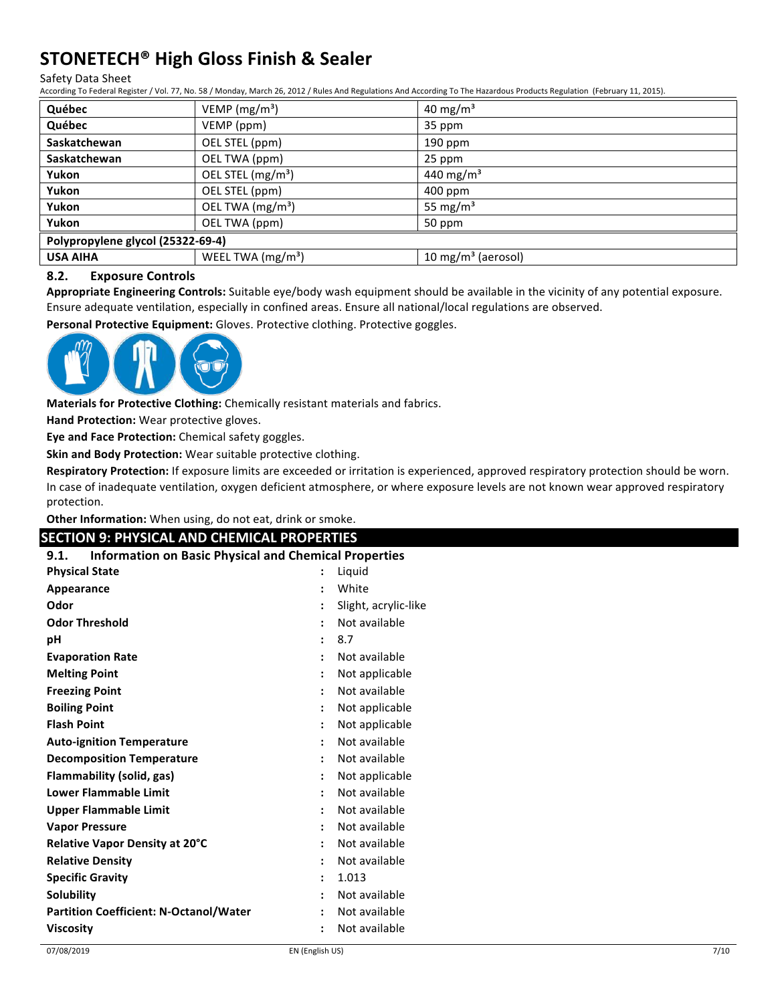# **STONETECH® High Gloss Finish & Sealer**

#### Safety Data Sheet

According To Federal Register / Vol. 77, No. 58 / Monday, March 26, 2012 / Rules And Regulations And According To The Hazardous Products Regulation (February 11, 2015).

| Québec                            | VEMP ( $mg/m3$ )              | 40 mg/m <sup>3</sup>           |
|-----------------------------------|-------------------------------|--------------------------------|
| Québec                            | VEMP (ppm)                    | 35 ppm                         |
| Saskatchewan                      | OEL STEL (ppm)                | $190$ ppm                      |
| <b>Saskatchewan</b>               | OEL TWA (ppm)                 | 25 ppm                         |
| Yukon                             | OEL STEL (mg/m <sup>3</sup> ) | 440 mg/m <sup>3</sup>          |
| Yukon                             | OEL STEL (ppm)                | $400$ ppm                      |
| Yukon                             | OEL TWA (mg/m <sup>3</sup> )  | 55 mg/m <sup>3</sup>           |
| Yukon                             | OEL TWA (ppm)                 | 50 ppm                         |
| Polypropylene glycol (25322-69-4) |                               |                                |
| <b>USA AIHA</b>                   | WEEL TWA $(mg/m3)$            | 10 mg/m <sup>3</sup> (aerosol) |

#### **8.2. Exposure Controls**

Appropriate Engineering Controls: Suitable eye/body wash equipment should be available in the vicinity of any potential exposure. Ensure adequate ventilation, especially in confined areas. Ensure all national/local regulations are observed.

Personal Protective Equipment: Gloves. Protective clothing. Protective goggles.



**Materials for Protective Clothing:** Chemically resistant materials and fabrics.

**Hand Protection:** Wear protective gloves.

**Eye and Face Protection:** Chemical safety goggles.

**Skin and Body Protection:** Wear suitable protective clothing.

**Respiratory Protection:** If exposure limits are exceeded or irritation is experienced, approved respiratory protection should be worn. In case of inadequate ventilation, oxygen deficient atmosphere, or where exposure levels are not known wear approved respiratory protection.

Other Information: When using, do not eat, drink or smoke.

| <b>Information on Basic Physical and Chemical Properties</b><br>9.1. |                      |                      |
|----------------------------------------------------------------------|----------------------|----------------------|
| <b>Physical State</b>                                                |                      | Liquid               |
| Appearance                                                           |                      | White                |
| Odor                                                                 |                      | Slight, acrylic-like |
| <b>Odor Threshold</b>                                                |                      | Not available        |
| pH                                                                   |                      | 8.7                  |
| <b>Evaporation Rate</b>                                              |                      | Not available        |
| <b>Melting Point</b>                                                 |                      | Not applicable       |
| <b>Freezing Point</b>                                                |                      | Not available        |
| <b>Boiling Point</b>                                                 |                      | Not applicable       |
| <b>Flash Point</b>                                                   |                      | Not applicable       |
| <b>Auto-ignition Temperature</b>                                     |                      | Not available        |
| <b>Decomposition Temperature</b>                                     |                      | Not available        |
| Flammability (solid, gas)                                            |                      | Not applicable       |
| <b>Lower Flammable Limit</b>                                         | ÷                    | Not available        |
| <b>Upper Flammable Limit</b>                                         | $\ddot{\phantom{a}}$ | Not available        |
| <b>Vapor Pressure</b>                                                |                      | Not available        |
| Relative Vapor Density at 20°C                                       |                      | Not available        |
| <b>Relative Density</b>                                              | $\ddot{\phantom{a}}$ | Not available        |
| <b>Specific Gravity</b>                                              | $\ddot{\phantom{a}}$ | 1.013                |
| Solubility                                                           |                      | Not available        |
| <b>Partition Coefficient: N-Octanol/Water</b>                        |                      | Not available        |
| <b>Viscosity</b>                                                     |                      | Not available        |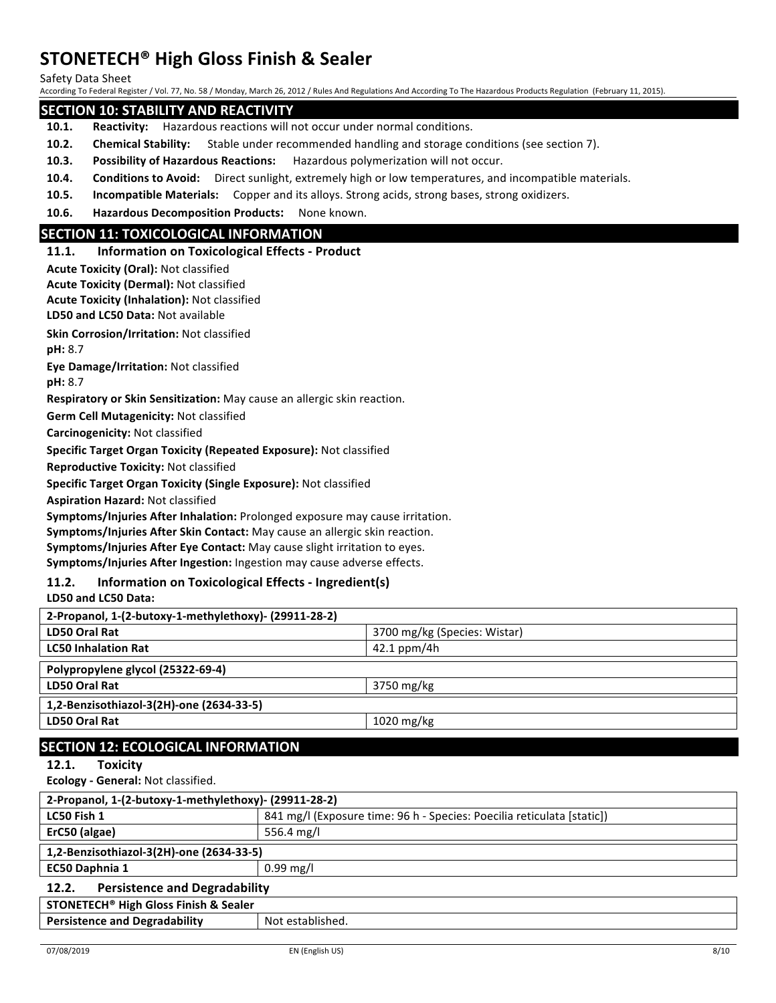Safety Data Sheet

According To Federal Register / Vol. 77, No. 58 / Monday, March 26, 2012 / Rules And Regulations And According To The Hazardous Products Regulation (February 11, 2015).

#### **SECTION 10: STABILITY AND REACTIVITY**

- **10.1.** Reactivity: Hazardous reactions will not occur under normal conditions.
- **10.2. Chemical Stability:** Stable under recommended handling and storage conditions (see section 7).
- **10.3.** Possibility of Hazardous Reactions: Hazardous polymerization will not occur.
- **10.4.** Conditions to Avoid: Direct sunlight, extremely high or low temperatures, and incompatible materials.
- **10.5.** Incompatible Materials: Copper and its alloys. Strong acids, strong bases, strong oxidizers.
- 10.6. **Hazardous Decomposition Products:** None known.

### **SECTION 11: TOXICOLOGICAL INFORMATION**

#### 11.1. **Information on Toxicological Effects - Product**

**Acute Toxicity (Oral): Not classified** 

**Acute Toxicity (Dermal):** Not classified

**LD50 and LC50 Data: Not available Acute Toxicity (Inhalation): Not classified** 

**Skin Corrosion/Irritation: Not classified** 

**pH:** 8.7

**Eye Damage/Irritation: Not classified** 

**pH:** 8.7

**Respiratory or Skin Sensitization:** May cause an allergic skin reaction.

**Germ Cell Mutagenicity: Not classified** 

**Carcinogenicity: Not classified** 

Specific Target Organ Toxicity (Repeated Exposure): Not classified

**Reproductive Toxicity: Not classified** 

**Specific Target Organ Toxicity (Single Exposure):** Not classified

**Aspiration Hazard:** Not classified

Symptoms/Injuries After Inhalation: Prolonged exposure may cause irritation.

**Symptoms/Injuries After Skin Contact:** May cause an allergic skin reaction.

**Symptoms/Injuries After Eye Contact:** May cause slight irritation to eyes.

Symptoms/Injuries After Ingestion: Ingestion may cause adverse effects.

### **11.2. Information on Toxicological Effects - Ingredient(s)**

**LD50 and LC50 Data:** 

| 2-Propanol, 1-(2-butoxy-1-methylethoxy)- (29911-28-2) |                              |
|-------------------------------------------------------|------------------------------|
| <b>LD50 Oral Rat</b>                                  | 3700 mg/kg (Species: Wistar) |
| <b>LC50 Inhalation Rat</b>                            | $42.1$ ppm/4h                |
| Polypropylene glycol (25322-69-4)                     |                              |
| <b>LD50 Oral Rat</b>                                  | 3750 mg/kg                   |
| 1,2-Benzisothiazol-3(2H)-one (2634-33-5)              |                              |
| <b>LD50 Oral Rat</b>                                  | $1020$ mg/kg                 |
| <b>CECTION 12: ECOLOGICAL INFORMATION</b>             |                              |

#### **SECTION IZ: ECOLOGICAL INFORMATION** 12.1. Toxicity

**Ecology - General: Not classified.** 

| 2-Propanol, 1-(2-butoxy-1-methylethoxy)- (29911-28-2)       |                                                                        |  |  |  |
|-------------------------------------------------------------|------------------------------------------------------------------------|--|--|--|
| LC50 Fish 1                                                 | 841 mg/l (Exposure time: 96 h - Species: Poecilia reticulata [static]) |  |  |  |
| ErC50 (algae)                                               | 556.4 mg/l                                                             |  |  |  |
| 1,2-Benzisothiazol-3(2H)-one (2634-33-5)                    |                                                                        |  |  |  |
| <b>EC50 Daphnia 1</b>                                       | $0.99 \,\mathrm{mg/l}$                                                 |  |  |  |
| <b>Persistence and Degradability</b><br>12.2.               |                                                                        |  |  |  |
| <b>STONETECH<sup>®</sup> High Gloss Finish &amp; Sealer</b> |                                                                        |  |  |  |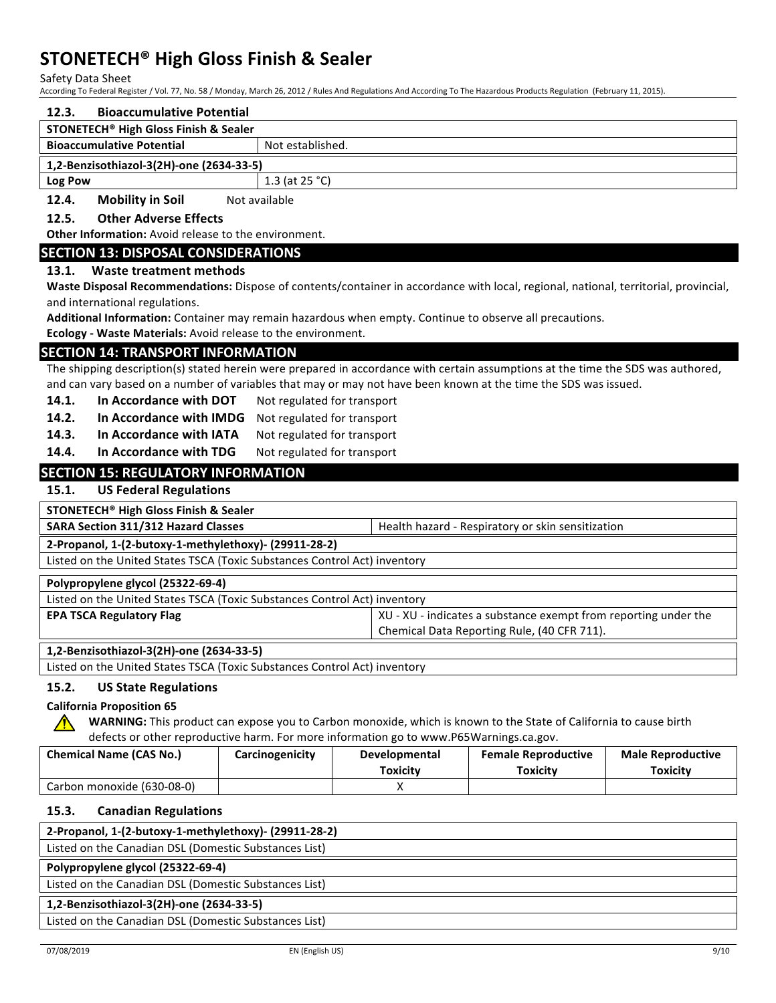Safety Data Sheet

According To Federal Register / Vol. 77, No. 58 / Monday, March 26, 2012 / Rules And Regulations And According To The Hazardous Products Regulation (February 11, 2015).

| According To Federal Register / Vol. 77, No. 58 / Monday, March 26, 2012 / Rules And Regulations And According To The Hazardous Products Regulation (February 11, 2015). |                                                                                                                                  |                                                                                                                 |                                                                                        |                                                                                                                                      |                          |  |  |
|--------------------------------------------------------------------------------------------------------------------------------------------------------------------------|----------------------------------------------------------------------------------------------------------------------------------|-----------------------------------------------------------------------------------------------------------------|----------------------------------------------------------------------------------------|--------------------------------------------------------------------------------------------------------------------------------------|--------------------------|--|--|
| 12.3.                                                                                                                                                                    | <b>Bioaccumulative Potential</b>                                                                                                 |                                                                                                                 |                                                                                        |                                                                                                                                      |                          |  |  |
|                                                                                                                                                                          | <b>STONETECH<sup>®</sup> High Gloss Finish &amp; Sealer</b>                                                                      |                                                                                                                 |                                                                                        |                                                                                                                                      |                          |  |  |
|                                                                                                                                                                          | <b>Bioaccumulative Potential</b>                                                                                                 | Not established.                                                                                                |                                                                                        |                                                                                                                                      |                          |  |  |
|                                                                                                                                                                          | 1,2-Benzisothiazol-3(2H)-one (2634-33-5)                                                                                         |                                                                                                                 |                                                                                        |                                                                                                                                      |                          |  |  |
| <b>Log Pow</b>                                                                                                                                                           |                                                                                                                                  | 1.3 (at 25 °C)                                                                                                  |                                                                                        |                                                                                                                                      |                          |  |  |
| 12.4.                                                                                                                                                                    | <b>Mobility in Soil</b>                                                                                                          | Not available                                                                                                   |                                                                                        |                                                                                                                                      |                          |  |  |
| 12.5.                                                                                                                                                                    | <b>Other Adverse Effects</b>                                                                                                     |                                                                                                                 |                                                                                        |                                                                                                                                      |                          |  |  |
|                                                                                                                                                                          | Other Information: Avoid release to the environment.                                                                             |                                                                                                                 |                                                                                        |                                                                                                                                      |                          |  |  |
|                                                                                                                                                                          | <b>SECTION 13: DISPOSAL CONSIDERATIONS</b>                                                                                       |                                                                                                                 |                                                                                        |                                                                                                                                      |                          |  |  |
| 13.1.                                                                                                                                                                    | Waste treatment methods                                                                                                          |                                                                                                                 |                                                                                        |                                                                                                                                      |                          |  |  |
|                                                                                                                                                                          |                                                                                                                                  |                                                                                                                 |                                                                                        | Waste Disposal Recommendations: Dispose of contents/container in accordance with local, regional, national, territorial, provincial, |                          |  |  |
|                                                                                                                                                                          | and international regulations.                                                                                                   |                                                                                                                 |                                                                                        |                                                                                                                                      |                          |  |  |
|                                                                                                                                                                          |                                                                                                                                  |                                                                                                                 |                                                                                        | Additional Information: Container may remain hazardous when empty. Continue to observe all precautions.                              |                          |  |  |
|                                                                                                                                                                          | Ecology - Waste Materials: Avoid release to the environment.                                                                     |                                                                                                                 |                                                                                        |                                                                                                                                      |                          |  |  |
|                                                                                                                                                                          | <b>SECTION 14: TRANSPORT INFORMATION</b>                                                                                         |                                                                                                                 |                                                                                        |                                                                                                                                      |                          |  |  |
|                                                                                                                                                                          | The shipping description(s) stated herein were prepared in accordance with certain assumptions at the time the SDS was authored, |                                                                                                                 |                                                                                        |                                                                                                                                      |                          |  |  |
| 14.1.                                                                                                                                                                    | In Accordance with DOT                                                                                                           | and can vary based on a number of variables that may or may not have been known at the time the SDS was issued. |                                                                                        |                                                                                                                                      |                          |  |  |
|                                                                                                                                                                          | In Accordance with IMDG                                                                                                          | Not regulated for transport                                                                                     |                                                                                        |                                                                                                                                      |                          |  |  |
| 14.2.                                                                                                                                                                    |                                                                                                                                  | Not regulated for transport<br>Not regulated for transport                                                      |                                                                                        |                                                                                                                                      |                          |  |  |
| 14.3.                                                                                                                                                                    | In Accordance with IATA                                                                                                          |                                                                                                                 |                                                                                        |                                                                                                                                      |                          |  |  |
| 14.4.                                                                                                                                                                    | In Accordance with TDG                                                                                                           | Not regulated for transport                                                                                     |                                                                                        |                                                                                                                                      |                          |  |  |
|                                                                                                                                                                          | <b>SECTION 15: REGULATORY INFORMATION</b>                                                                                        |                                                                                                                 |                                                                                        |                                                                                                                                      |                          |  |  |
| 15.1.                                                                                                                                                                    | <b>US Federal Regulations</b>                                                                                                    |                                                                                                                 |                                                                                        |                                                                                                                                      |                          |  |  |
|                                                                                                                                                                          | <b>STONETECH<sup>®</sup> High Gloss Finish &amp; Sealer</b>                                                                      |                                                                                                                 |                                                                                        |                                                                                                                                      |                          |  |  |
| <b>SARA Section 311/312 Hazard Classes</b><br>Health hazard - Respiratory or skin sensitization                                                                          |                                                                                                                                  |                                                                                                                 |                                                                                        |                                                                                                                                      |                          |  |  |
| 2-Propanol, 1-(2-butoxy-1-methylethoxy)- (29911-28-2)                                                                                                                    |                                                                                                                                  |                                                                                                                 |                                                                                        |                                                                                                                                      |                          |  |  |
| Listed on the United States TSCA (Toxic Substances Control Act) inventory                                                                                                |                                                                                                                                  |                                                                                                                 |                                                                                        |                                                                                                                                      |                          |  |  |
| Polypropylene glycol (25322-69-4)                                                                                                                                        |                                                                                                                                  |                                                                                                                 |                                                                                        |                                                                                                                                      |                          |  |  |
| Listed on the United States TSCA (Toxic Substances Control Act) inventory                                                                                                |                                                                                                                                  |                                                                                                                 |                                                                                        |                                                                                                                                      |                          |  |  |
|                                                                                                                                                                          | <b>EPA TSCA Regulatory Flag</b><br>XU - XU - indicates a substance exempt from reporting under the                               |                                                                                                                 |                                                                                        |                                                                                                                                      |                          |  |  |
|                                                                                                                                                                          | Chemical Data Reporting Rule, (40 CFR 711).                                                                                      |                                                                                                                 |                                                                                        |                                                                                                                                      |                          |  |  |
|                                                                                                                                                                          | 1,2-Benzisothiazol-3(2H)-one (2634-33-5)                                                                                         |                                                                                                                 |                                                                                        |                                                                                                                                      |                          |  |  |
|                                                                                                                                                                          | Listed on the United States TSCA (Toxic Substances Control Act) inventory                                                        |                                                                                                                 |                                                                                        |                                                                                                                                      |                          |  |  |
| 15.2.                                                                                                                                                                    | <b>US State Regulations</b>                                                                                                      |                                                                                                                 |                                                                                        |                                                                                                                                      |                          |  |  |
|                                                                                                                                                                          | <b>California Proposition 65</b>                                                                                                 |                                                                                                                 |                                                                                        |                                                                                                                                      |                          |  |  |
| WARNING: This product can expose you to Carbon monoxide, which is known to the State of California to cause birth                                                        |                                                                                                                                  |                                                                                                                 |                                                                                        |                                                                                                                                      |                          |  |  |
|                                                                                                                                                                          |                                                                                                                                  |                                                                                                                 | defects or other reproductive harm. For more information go to www.P65Warnings.ca.gov. |                                                                                                                                      |                          |  |  |
|                                                                                                                                                                          | <b>Chemical Name (CAS No.)</b>                                                                                                   | Carcinogenicity                                                                                                 | Developmental                                                                          | <b>Female Reproductive</b>                                                                                                           | <b>Male Reproductive</b> |  |  |
|                                                                                                                                                                          |                                                                                                                                  |                                                                                                                 | <b>Toxicity</b>                                                                        | <b>Toxicity</b>                                                                                                                      | <b>Toxicity</b>          |  |  |
|                                                                                                                                                                          | Carbon monoxide (630-08-0)                                                                                                       |                                                                                                                 | X                                                                                      |                                                                                                                                      |                          |  |  |
| 15.3.<br><b>Canadian Regulations</b>                                                                                                                                     |                                                                                                                                  |                                                                                                                 |                                                                                        |                                                                                                                                      |                          |  |  |
| 2-Propanol, 1-(2-butoxy-1-methylethoxy)- (29911-28-2)                                                                                                                    |                                                                                                                                  |                                                                                                                 |                                                                                        |                                                                                                                                      |                          |  |  |
| Listed on the Canadian DSL (Domestic Substances List)                                                                                                                    |                                                                                                                                  |                                                                                                                 |                                                                                        |                                                                                                                                      |                          |  |  |
|                                                                                                                                                                          | Polypropylene glycol (25322-69-4)                                                                                                |                                                                                                                 |                                                                                        |                                                                                                                                      |                          |  |  |
|                                                                                                                                                                          | Listed on the Canadian DSL (Domestic Substances List)                                                                            |                                                                                                                 |                                                                                        |                                                                                                                                      |                          |  |  |

#### **1,2-Benzisothiazol-3(2H)-one (2634-33-5)**

Listed on the Canadian DSL (Domestic Substances List)